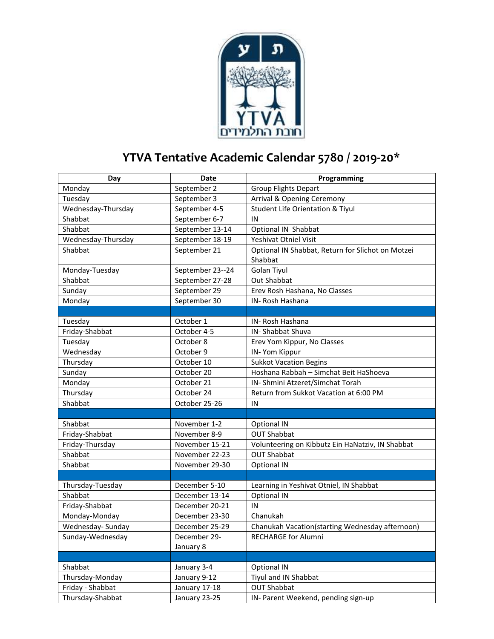

## **YTVA Tentative Academic Calendar 5780 / 2019-20\***

| Day                | <b>Date</b>      | Programming                                       |
|--------------------|------------------|---------------------------------------------------|
| Monday             | September 2      | <b>Group Flights Depart</b>                       |
| Tuesday            | September 3      | Arrival & Opening Ceremony                        |
| Wednesday-Thursday | September 4-5    | <b>Student Life Orientation &amp; Tiyul</b>       |
| Shabbat            | September 6-7    | IN                                                |
| Shabbat            | September 13-14  | Optional IN Shabbat                               |
| Wednesday-Thursday | September 18-19  | Yeshivat Otniel Visit                             |
| Shabbat            | September 21     | Optional IN Shabbat, Return for Slichot on Motzei |
|                    |                  | Shabbat                                           |
| Monday-Tuesday     | September 23--24 | Golan Tiyul                                       |
| Shabbat            | September 27-28  | Out Shabbat                                       |
| Sunday             | September 29     | Erev Rosh Hashana, No Classes                     |
| Monday             | September 30     | IN-Rosh Hashana                                   |
|                    |                  |                                                   |
| Tuesday            | October 1        | IN-Rosh Hashana                                   |
| Friday-Shabbat     | October 4-5      | <b>IN-Shabbat Shuva</b>                           |
| Tuesday            | October 8        | Erev Yom Kippur, No Classes                       |
| Wednesday          | October 9        | IN-Yom Kippur                                     |
| Thursday           | October 10       | <b>Sukkot Vacation Begins</b>                     |
| Sunday             | October 20       | Hoshana Rabbah - Simchat Beit HaShoeva            |
| Monday             | October 21       | IN- Shmini Atzeret/Simchat Torah                  |
| Thursday           | October 24       | Return from Sukkot Vacation at 6:00 PM            |
| Shabbat            | October 25-26    | IN                                                |
|                    |                  |                                                   |
| Shabbat            | November 1-2     | Optional IN                                       |
| Friday-Shabbat     | November 8-9     | <b>OUT Shabbat</b>                                |
| Friday-Thursday    | November 15-21   | Volunteering on Kibbutz Ein HaNatziv, IN Shabbat  |
| Shabbat            | November 22-23   | <b>OUT Shabbat</b>                                |
| Shabbat            | November 29-30   | Optional IN                                       |
|                    |                  |                                                   |
| Thursday-Tuesday   | December 5-10    | Learning in Yeshivat Otniel, IN Shabbat           |
| Shabbat            | December 13-14   | Optional IN                                       |
| Friday-Shabbat     | December 20-21   | IN                                                |
| Monday-Monday      | December 23-30   | Chanukah                                          |
| Wednesday-Sunday   | December 25-29   | Chanukah Vacation(starting Wednesday afternoon)   |
| Sunday-Wednesday   | December 29-     | RECHARGE for Alumni                               |
|                    | January 8        |                                                   |
|                    |                  |                                                   |
| Shabbat            | January 3-4      | Optional IN                                       |
| Thursday-Monday    | January 9-12     | Tiyul and IN Shabbat                              |
| Friday - Shabbat   | January 17-18    | <b>OUT Shabbat</b>                                |
| Thursday-Shabbat   | January 23-25    | IN- Parent Weekend, pending sign-up               |